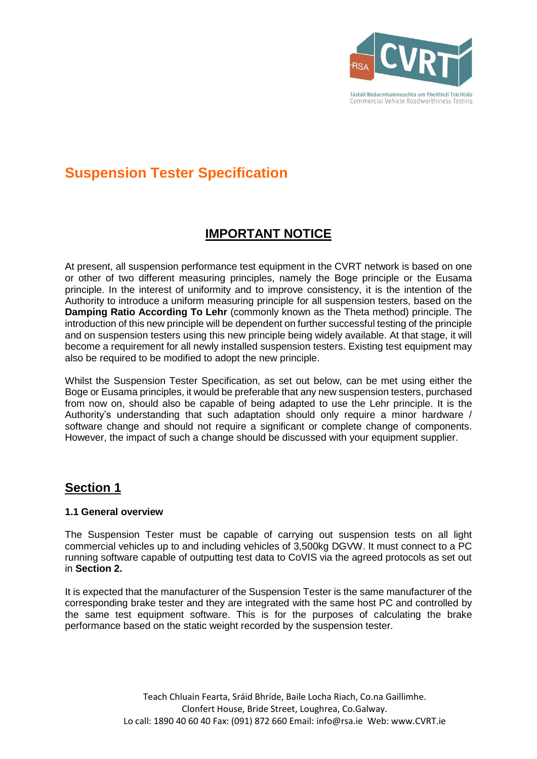

# **Suspension Tester Specification**

### **IMPORTANT NOTICE**

At present, all suspension performance test equipment in the CVRT network is based on one or other of two different measuring principles, namely the Boge principle or the Eusama principle. In the interest of uniformity and to improve consistency, it is the intention of the Authority to introduce a uniform measuring principle for all suspension testers, based on the **Damping Ratio According To Lehr** (commonly known as the Theta method) principle. The introduction of this new principle will be dependent on further successful testing of the principle and on suspension testers using this new principle being widely available. At that stage, it will become a requirement for all newly installed suspension testers. Existing test equipment may also be required to be modified to adopt the new principle.

Whilst the Suspension Tester Specification, as set out below, can be met using either the Boge or Eusama principles, it would be preferable that any new suspension testers, purchased from now on, should also be capable of being adapted to use the Lehr principle. It is the Authority's understanding that such adaptation should only require a minor hardware / software change and should not require a significant or complete change of components. However, the impact of such a change should be discussed with your equipment supplier.

### **Section 1**

### **1.1 General overview**

The Suspension Tester must be capable of carrying out suspension tests on all light commercial vehicles up to and including vehicles of 3,500kg DGVW. It must connect to a PC running software capable of outputting test data to CoVIS via the agreed protocols as set out in **Section 2.**

It is expected that the manufacturer of the Suspension Tester is the same manufacturer of the corresponding brake tester and they are integrated with the same host PC and controlled by the same test equipment software. This is for the purposes of calculating the brake performance based on the static weight recorded by the suspension tester.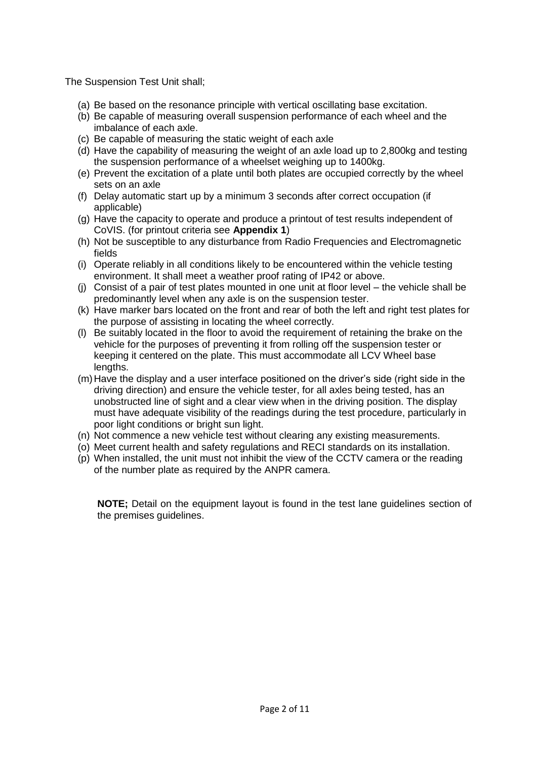The Suspension Test Unit shall;

- (a) Be based on the resonance principle with vertical oscillating base excitation.
- (b) Be capable of measuring overall suspension performance of each wheel and the imbalance of each axle.
- (c) Be capable of measuring the static weight of each axle
- (d) Have the capability of measuring the weight of an axle load up to 2,800kg and testing the suspension performance of a wheelset weighing up to 1400kg.
- (e) Prevent the excitation of a plate until both plates are occupied correctly by the wheel sets on an axle
- (f) Delay automatic start up by a minimum 3 seconds after correct occupation (if applicable)
- (g) Have the capacity to operate and produce a printout of test results independent of CoVIS. (for printout criteria see **Appendix 1**)
- (h) Not be susceptible to any disturbance from Radio Frequencies and Electromagnetic fields
- (i) Operate reliably in all conditions likely to be encountered within the vehicle testing environment. It shall meet a weather proof rating of IP42 or above.
- (j) Consist of a pair of test plates mounted in one unit at floor level the vehicle shall be predominantly level when any axle is on the suspension tester.
- (k) Have marker bars located on the front and rear of both the left and right test plates for the purpose of assisting in locating the wheel correctly.
- (l) Be suitably located in the floor to avoid the requirement of retaining the brake on the vehicle for the purposes of preventing it from rolling off the suspension tester or keeping it centered on the plate. This must accommodate all LCV Wheel base lengths.
- (m)Have the display and a user interface positioned on the driver's side (right side in the driving direction) and ensure the vehicle tester, for all axles being tested, has an unobstructed line of sight and a clear view when in the driving position. The display must have adequate visibility of the readings during the test procedure, particularly in poor light conditions or bright sun light.
- (n) Not commence a new vehicle test without clearing any existing measurements.
- (o) Meet current health and safety regulations and RECI standards on its installation.
- (p) When installed, the unit must not inhibit the view of the CCTV camera or the reading of the number plate as required by the ANPR camera.

**NOTE;** Detail on the equipment layout is found in the test lane guidelines section of the premises guidelines.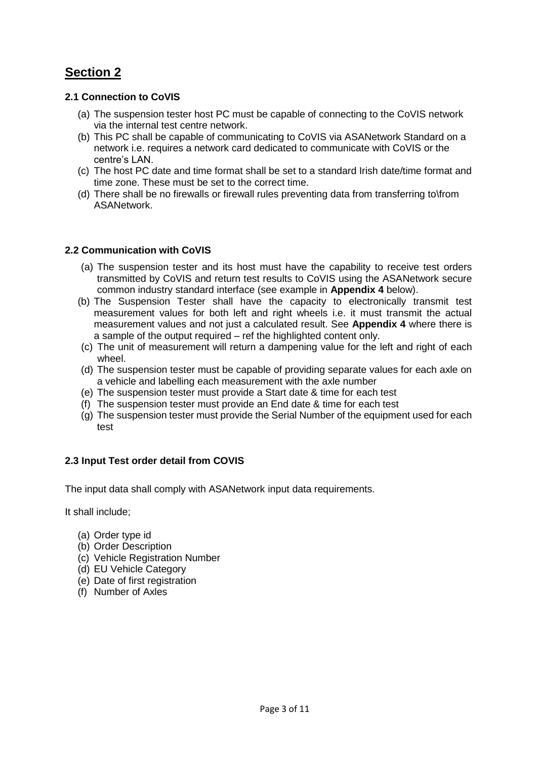## **Section 2**

### **2.1 Connection to CoVIS**

- (a) The suspension tester host PC must be capable of connecting to the CoVIS network via the internal test centre network.
- (b) This PC shall be capable of communicating to CoVIS via ASANetwork Standard on a network i.e. requires a network card dedicated to communicate with CoVIS or the centre's LAN.
- (c) The host PC date and time format shall be set to a standard Irish date/time format and time zone. These must be set to the correct time.
- (d) There shall be no firewalls or firewall rules preventing data from transferring to\from **ASANetwork.**

### **2.2 Communication with CoVIS**

- (a) The suspension tester and its host must have the capability to receive test orders transmitted by CoVIS and return test results to CoVIS using the ASANetwork secure common industry standard interface (see example in **Appendix 4** below).
- (b) The Suspension Tester shall have the capacity to electronically transmit test measurement values for both left and right wheels i.e. it must transmit the actual measurement values and not just a calculated result. See **Appendix 4** where there is a sample of the output required – ref the highlighted content only.
- (c) The unit of measurement will return a dampening value for the left and right of each wheel.
- (d) The suspension tester must be capable of providing separate values for each axle on a vehicle and labelling each measurement with the axle number
- (e) The suspension tester must provide a Start date & time for each test
- (f) The suspension tester must provide an End date & time for each test
- (g) The suspension tester must provide the Serial Number of the equipment used for each test

### **2.3 Input Test order detail from COVIS**

The input data shall comply with ASANetwork input data requirements.

It shall include;

- (a) Order type id
- (b) Order Description
- (c) Vehicle Registration Number
- (d) EU Vehicle Category
- (e) Date of first registration
- (f) Number of Axles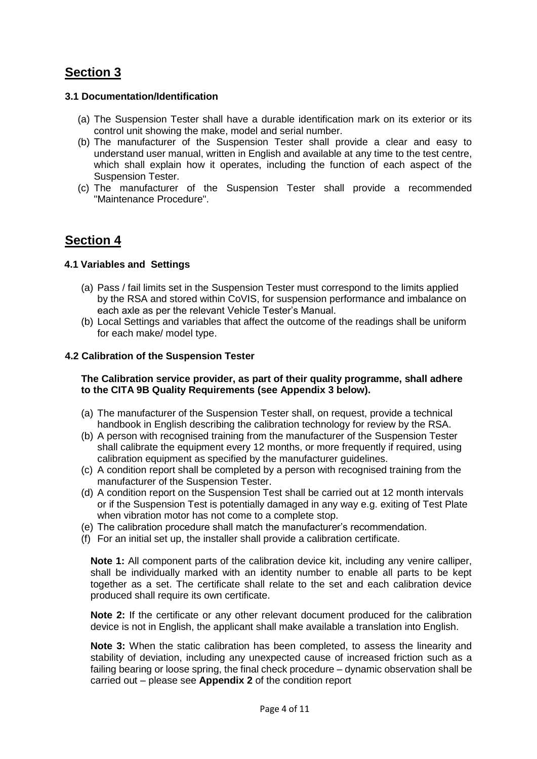### **Section 3**

#### **3.1 Documentation/Identification**

- (a) The Suspension Tester shall have a durable identification mark on its exterior or its control unit showing the make, model and serial number.
- (b) The manufacturer of the Suspension Tester shall provide a clear and easy to understand user manual, written in English and available at any time to the test centre, which shall explain how it operates, including the function of each aspect of the Suspension Tester.
- (c) The manufacturer of the Suspension Tester shall provide a recommended "Maintenance Procedure".

### **Section 4**

### **4.1 Variables and Settings**

- (a) Pass / fail limits set in the Suspension Tester must correspond to the limits applied by the RSA and stored within CoVIS, for suspension performance and imbalance on each axle as per the relevant Vehicle Tester's Manual.
- (b) Local Settings and variables that affect the outcome of the readings shall be uniform for each make/ model type.

#### **4.2 Calibration of the Suspension Tester**

#### **The Calibration service provider, as part of their quality programme, shall adhere to the CITA 9B Quality Requirements (see Appendix 3 below).**

- (a) The manufacturer of the Suspension Tester shall, on request, provide a technical handbook in English describing the calibration technology for review by the RSA.
- (b) A person with recognised training from the manufacturer of the Suspension Tester shall calibrate the equipment every 12 months, or more frequently if required, using calibration equipment as specified by the manufacturer guidelines.
- (c) A condition report shall be completed by a person with recognised training from the manufacturer of the Suspension Tester.
- (d) A condition report on the Suspension Test shall be carried out at 12 month intervals or if the Suspension Test is potentially damaged in any way e.g. exiting of Test Plate when vibration motor has not come to a complete stop.
- (e) The calibration procedure shall match the manufacturer's recommendation.
- (f) For an initial set up, the installer shall provide a calibration certificate.

**Note 1:** All component parts of the calibration device kit, including any venire calliper, shall be individually marked with an identity number to enable all parts to be kept together as a set. The certificate shall relate to the set and each calibration device produced shall require its own certificate.

**Note 2:** If the certificate or any other relevant document produced for the calibration device is not in English, the applicant shall make available a translation into English.

**Note 3:** When the static calibration has been completed, to assess the linearity and stability of deviation, including any unexpected cause of increased friction such as a failing bearing or loose spring, the final check procedure – dynamic observation shall be carried out – please see **Appendix 2** of the condition report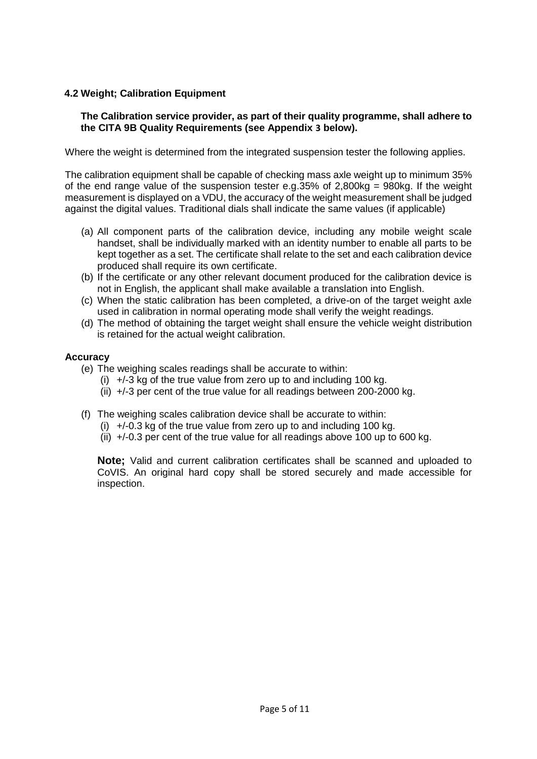### **4.2 Weight; Calibration Equipment**

### **The Calibration service provider, as part of their quality programme, shall adhere to the CITA 9B Quality Requirements (see Appendix 3 below).**

Where the weight is determined from the integrated suspension tester the following applies.

The calibration equipment shall be capable of checking mass axle weight up to minimum 35% of the end range value of the suspension tester e.g.35% of  $2,800kg = 980kg$ . If the weight measurement is displayed on a VDU, the accuracy of the weight measurement shall be judged against the digital values. Traditional dials shall indicate the same values (if applicable)

- (a) All component parts of the calibration device, including any mobile weight scale handset, shall be individually marked with an identity number to enable all parts to be kept together as a set. The certificate shall relate to the set and each calibration device produced shall require its own certificate.
- (b) If the certificate or any other relevant document produced for the calibration device is not in English, the applicant shall make available a translation into English.
- (c) When the static calibration has been completed, a drive-on of the target weight axle used in calibration in normal operating mode shall verify the weight readings.
- (d) The method of obtaining the target weight shall ensure the vehicle weight distribution is retained for the actual weight calibration.

### **Accuracy**

- (e) The weighing scales readings shall be accurate to within:
	- (i)  $+/-3$  kg of the true value from zero up to and including 100 kg.
	- (ii) +/-3 per cent of the true value for all readings between 200-2000 kg.
- (f) The weighing scales calibration device shall be accurate to within:
	- (i)  $+/-0.3$  kg of the true value from zero up to and including 100 kg.
	- (ii) +/-0.3 per cent of the true value for all readings above 100 up to 600 kg.

**Note;** Valid and current calibration certificates shall be scanned and uploaded to CoVIS. An original hard copy shall be stored securely and made accessible for inspection.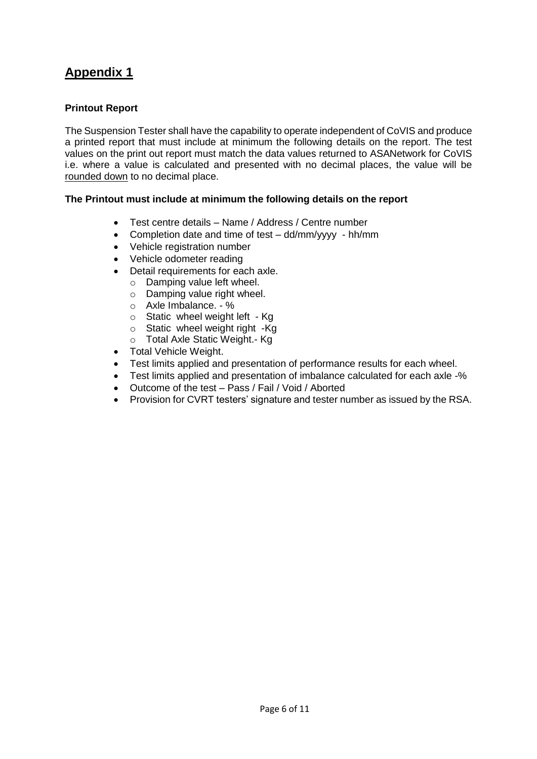### **Printout Report**

The Suspension Tester shall have the capability to operate independent of CoVIS and produce a printed report that must include at minimum the following details on the report. The test values on the print out report must match the data values returned to ASANetwork for CoVIS i.e. where a value is calculated and presented with no decimal places, the value will be rounded down to no decimal place.

### **The Printout must include at minimum the following details on the report**

- Test centre details Name / Address / Centre number
- Completion date and time of test dd/mm/yyyy hh/mm
- Vehicle registration number
- Vehicle odometer reading
- Detail requirements for each axle.
	- o Damping value left wheel.
	- o Damping value right wheel.
	- o Axle Imbalance. %
	- o Static wheel weight left Kg
	- o Static wheel weight right -Kg
	- o Total Axle Static Weight.- Kg
- Total Vehicle Weight.
- Test limits applied and presentation of performance results for each wheel.
- Test limits applied and presentation of imbalance calculated for each axle -%
- Outcome of the test Pass / Fail / Void / Aborted
- Provision for CVRT testers' signature and tester number as issued by the RSA.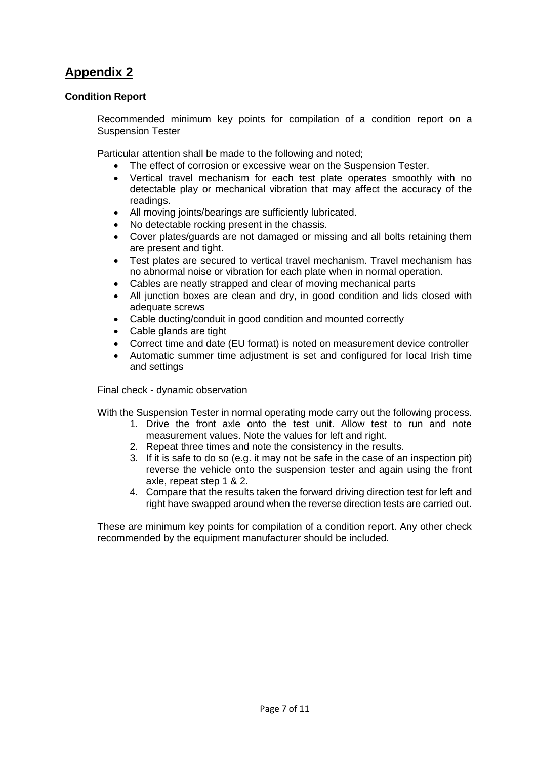### **Condition Report**

Recommended minimum key points for compilation of a condition report on a Suspension Tester

Particular attention shall be made to the following and noted;

- The effect of corrosion or excessive wear on the Suspension Tester.
- Vertical travel mechanism for each test plate operates smoothly with no detectable play or mechanical vibration that may affect the accuracy of the readings.
- All moving joints/bearings are sufficiently lubricated.
- No detectable rocking present in the chassis.
- Cover plates/guards are not damaged or missing and all bolts retaining them are present and tight.
- Test plates are secured to vertical travel mechanism. Travel mechanism has no abnormal noise or vibration for each plate when in normal operation.
- Cables are neatly strapped and clear of moving mechanical parts
- All junction boxes are clean and dry, in good condition and lids closed with adequate screws
- Cable ducting/conduit in good condition and mounted correctly
- Cable glands are tight
- Correct time and date (EU format) is noted on measurement device controller
- Automatic summer time adjustment is set and configured for local Irish time and settings

Final check - dynamic observation

With the Suspension Tester in normal operating mode carry out the following process.

- 1. Drive the front axle onto the test unit. Allow test to run and note measurement values. Note the values for left and right.
- 2. Repeat three times and note the consistency in the results.
- 3. If it is safe to do so (e.g. it may not be safe in the case of an inspection pit) reverse the vehicle onto the suspension tester and again using the front axle, repeat step 1 & 2.
- 4. Compare that the results taken the forward driving direction test for left and right have swapped around when the reverse direction tests are carried out.

These are minimum key points for compilation of a condition report. Any other check recommended by the equipment manufacturer should be included.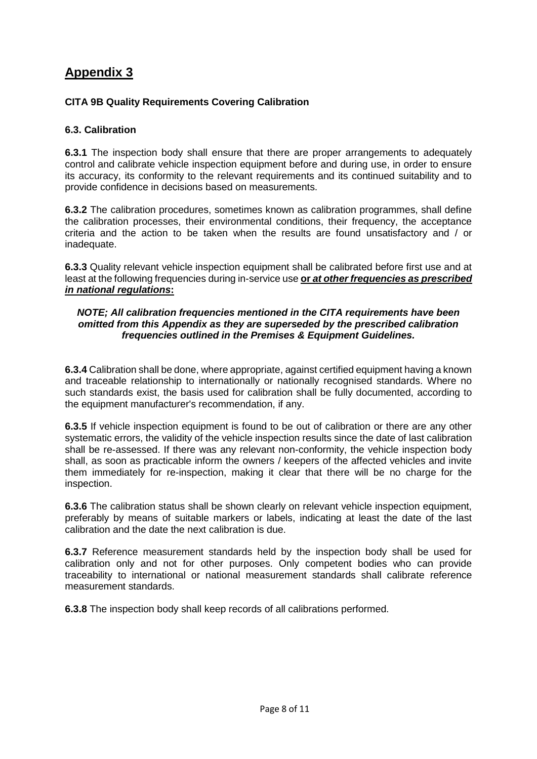### **CITA 9B Quality Requirements Covering Calibration**

### **6.3. Calibration**

**6.3.1** The inspection body shall ensure that there are proper arrangements to adequately control and calibrate vehicle inspection equipment before and during use, in order to ensure its accuracy, its conformity to the relevant requirements and its continued suitability and to provide confidence in decisions based on measurements.

**6.3.2** The calibration procedures, sometimes known as calibration programmes, shall define the calibration processes, their environmental conditions, their frequency, the acceptance criteria and the action to be taken when the results are found unsatisfactory and / or inadequate.

**6.3.3** Quality relevant vehicle inspection equipment shall be calibrated before first use and at least at the following frequencies during in-service use **or** *at other frequencies as prescribed in national regulations***:**

#### *NOTE; All calibration frequencies mentioned in the CITA requirements have been omitted from this Appendix as they are superseded by the prescribed calibration frequencies outlined in the Premises & Equipment Guidelines.*

**6.3.4** Calibration shall be done, where appropriate, against certified equipment having a known and traceable relationship to internationally or nationally recognised standards. Where no such standards exist, the basis used for calibration shall be fully documented, according to the equipment manufacturer's recommendation, if any.

**6.3.5** If vehicle inspection equipment is found to be out of calibration or there are any other systematic errors, the validity of the vehicle inspection results since the date of last calibration shall be re-assessed. If there was any relevant non-conformity, the vehicle inspection body shall, as soon as practicable inform the owners / keepers of the affected vehicles and invite them immediately for re-inspection, making it clear that there will be no charge for the inspection.

**6.3.6** The calibration status shall be shown clearly on relevant vehicle inspection equipment, preferably by means of suitable markers or labels, indicating at least the date of the last calibration and the date the next calibration is due.

**6.3.7** Reference measurement standards held by the inspection body shall be used for calibration only and not for other purposes. Only competent bodies who can provide traceability to international or national measurement standards shall calibrate reference measurement standards.

**6.3.8** The inspection body shall keep records of all calibrations performed.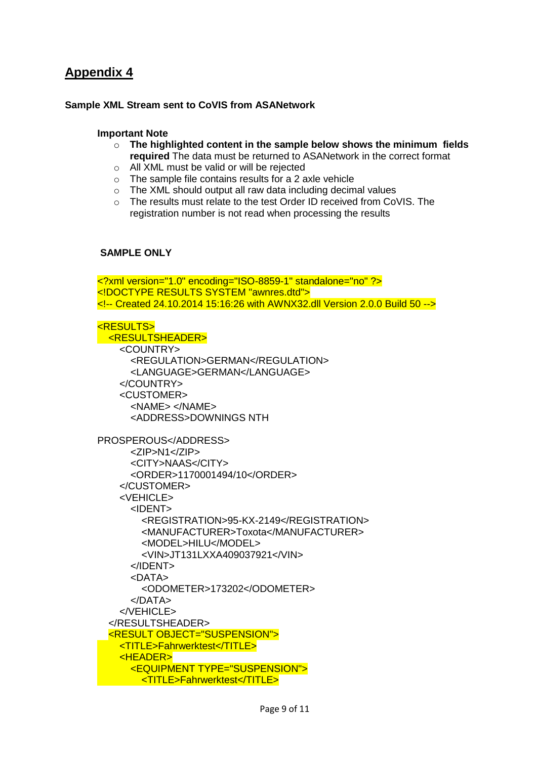### **Sample XML Stream sent to CoVIS from ASANetwork**

#### **Important Note**

- o **The highlighted content in the sample below shows the minimum fields required** The data must be returned to ASANetwork in the correct format
- o All XML must be valid or will be rejected
- o The sample file contains results for a 2 axle vehicle
- o The XML should output all raw data including decimal values
- o The results must relate to the test Order ID received from CoVIS. The registration number is not read when processing the results

### **SAMPLE ONLY**

<?xml version="1.0" encoding="ISO-8859-1" standalone="no" ?> <!DOCTYPE RESULTS SYSTEM "awnres.dtd"> <!-- Created 24.10.2014 15:16:26 with AWNX32.dll Version 2.0.0 Build 50 -->

#### <RESULTS>

 <RESULTSHEADER> <COUNTRY> <REGULATION>GERMAN</REGULATION> <LANGUAGE>GERMAN</LANGUAGE> </COUNTRY> <CUSTOMER> <NAME> </NAME> <ADDRESS>DOWNINGS NTH

```
PROSPEROUS</ADDRESS>
       <ZIP>N1</ZIP>
       <CITY>NAAS</CITY>
       <ORDER>1170001494/10</ORDER>
     </CUSTOMER>
     <VEHICLE>
       <IDENT>
         <REGISTRATION>95-KX-2149</REGISTRATION>
         <MANUFACTURER>Toxota</MANUFACTURER>
         <MODEL>HILU</MODEL>
         <VIN>JT131LXXA409037921</VIN>
       </IDENT>
       <DATA>
         <ODOMETER>173202</ODOMETER>
       </DATA>
     </VEHICLE>
   </RESULTSHEADER>
  <RESULT OBJECT="SUSPENSION">
     <TITLE>Fahrwerktest</TITLE>
     <HEADER>
       <EQUIPMENT TYPE="SUSPENSION">
         <TITLE>Fahrwerktest</TITLE>
```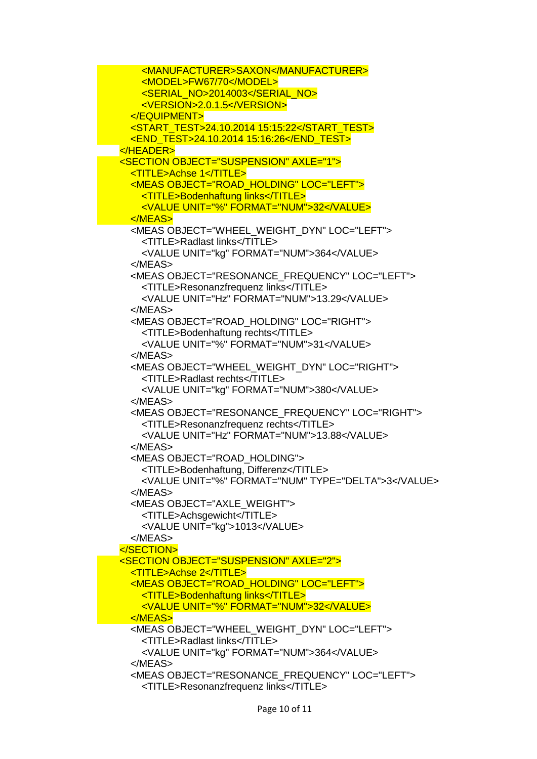<MANUFACTURER>SAXON</MANUFACTURER> <MODEL>FW67/70</MODEL> <SERIAL\_NO>2014003</SERIAL\_NO> <VERSION>2.0.1.5</VERSION> </EQUIPMENT> <START\_TEST>24.10.2014 15:15:22</START\_TEST> <END\_TEST>24.10.2014 15:16:26</END\_TEST> </HEADER> <SECTION OBJECT="SUSPENSION" AXLE="1"> <TITLE>Achse 1</TITLE> <MEAS OBJECT="ROAD\_HOLDING" LOC="LEFT"> <TITLE>Bodenhaftung links</TITLE> <VALUE UNIT="%" FORMAT="NUM">32</VALUE> </MEAS> <MEAS OBJECT="WHEEL\_WEIGHT\_DYN" LOC="LEFT"> <TITLE>Radlast links</TITLE> <VALUE UNIT="kg" FORMAT="NUM">364</VALUE> </MEAS> <MEAS OBJECT="RESONANCE\_FREQUENCY" LOC="LEFT"> <TITLE>Resonanzfrequenz links</TITLE> <VALUE UNIT="Hz" FORMAT="NUM">13.29</VALUE> </MEAS> <MEAS OBJECT="ROAD\_HOLDING" LOC="RIGHT"> <TITLE>Bodenhaftung rechts</TITLE> <VALUE UNIT="%" FORMAT="NUM">31</VALUE> </MEAS> <MEAS OBJECT="WHEEL\_WEIGHT\_DYN" LOC="RIGHT"> <TITLE>Radlast rechts</TITLE> <VALUE UNIT="kg" FORMAT="NUM">380</VALUE> </MEAS> <MEAS OBJECT="RESONANCE\_FREQUENCY" LOC="RIGHT"> <TITLE>Resonanzfrequenz rechts</TITLE> <VALUE UNIT="Hz" FORMAT="NUM">13.88</VALUE> </MEAS> <MEAS OBJECT="ROAD\_HOLDING"> <TITLE>Bodenhaftung, Differenz</TITLE> <VALUE UNIT="%" FORMAT="NUM" TYPE="DELTA">3</VALUE> </MEAS> <MEAS OBJECT="AXLE\_WEIGHT"> <TITLE>Achsgewicht</TITLE> <VALUE UNIT="kg">1013</VALUE> </MEAS> </SECTION> <SECTION OBJECT="SUSPENSION" AXLE="2"> <TITLE>Achse 2</TITLE> <MEAS OBJECT="ROAD\_HOLDING" LOC="LEFT"> <TITLE>Bodenhaftung links</TITLE> <VALUE UNIT="%" FORMAT="NUM">32</VALUE> </MEAS> <MEAS OBJECT="WHEEL\_WEIGHT\_DYN" LOC="LEFT"> <TITLE>Radlast links</TITLE> <VALUE UNIT="kg" FORMAT="NUM">364</VALUE> </MEAS> <MEAS OBJECT="RESONANCE\_FREQUENCY" LOC="LEFT"> <TITLE>Resonanzfrequenz links</TITLE>